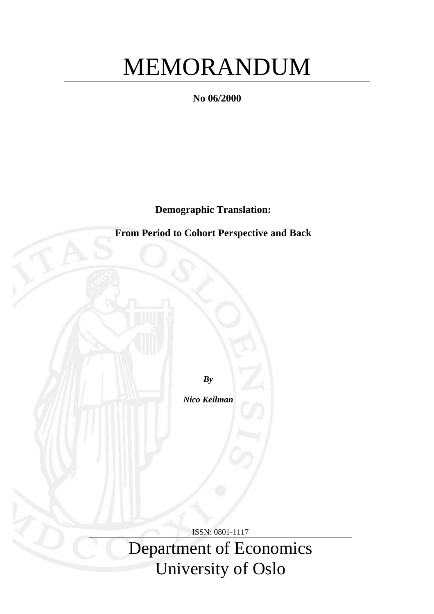# MEMORANDUM

**No 06/2000**

**Demographic Translation:**

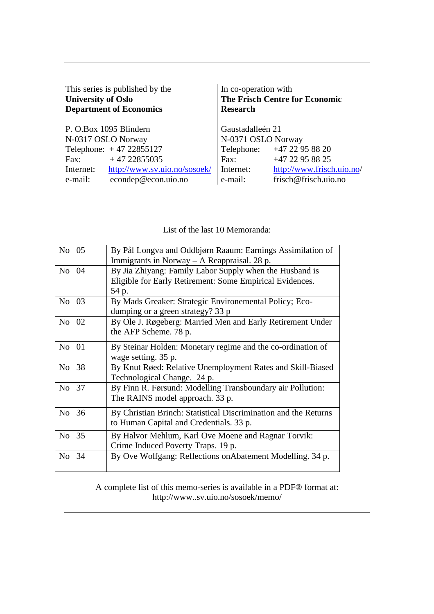| This series is published by the<br><b>University of Oslo</b><br><b>Department of Economics</b> | In co-operation with<br>The Frisch Centre for Economic<br><b>Research</b> |                           |
|------------------------------------------------------------------------------------------------|---------------------------------------------------------------------------|---------------------------|
| P. O.Box 1095 Blindern                                                                         | Gaustadalleén 21                                                          |                           |
| N-0317 OSLO Norway                                                                             | N-0371 OSLO Norway                                                        |                           |
| Telephone: $+47 22855127$                                                                      | Telephone: +47 22 95 88 20                                                |                           |
| $+4722855035$<br>Fax:                                                                          | +47 22 95 88 25<br>Fax:                                                   |                           |
| http://www.sv.uio.no/sosoek/<br>Internet:                                                      | Internet:                                                                 | http://www.frisch.uio.no/ |
| econdep@econ.uio.no<br>e-mail:                                                                 | frisch@frisch.uio.no<br>e-mail:                                           |                           |

List of the last 10 Memoranda:

| No 05 | By Pål Longva and Oddbjørn Raaum: Earnings Assimilation of<br>Immigrants in Norway $-$ A Reappraisal. 28 p.                  |
|-------|------------------------------------------------------------------------------------------------------------------------------|
| No 04 | By Jia Zhiyang: Family Labor Supply when the Husband is<br>Eligible for Early Retirement: Some Empirical Evidences.<br>54 p. |
| No 03 | By Mads Greaker: Strategic Environemental Policy; Eco-<br>dumping or a green strategy? 33 p                                  |
| No 02 | By Ole J. Røgeberg: Married Men and Early Retirement Under<br>the AFP Scheme. 78 p.                                          |
| No 01 | By Steinar Holden: Monetary regime and the co-ordination of<br>wage setting. 35 p.                                           |
| No 38 | By Knut Røed: Relative Unemployment Rates and Skill-Biased<br>Technological Change. 24 p.                                    |
| No 37 | By Finn R. Førsund: Modelling Transboundary air Pollution:<br>The RAINS model approach. 33 p.                                |
| No 36 | By Christian Brinch: Statistical Discrimination and the Returns<br>to Human Capital and Credentials. 33 p.                   |
| No 35 | By Halvor Mehlum, Karl Ove Moene and Ragnar Torvik:<br>Crime Induced Poverty Traps. 19 p.                                    |
| No 34 | By Ove Wolfgang: Reflections on Abatement Modelling. 34 p.                                                                   |

A complete list of this memo-series is available in a PDF® format at: http://www..sv.uio.no/sosoek/memo/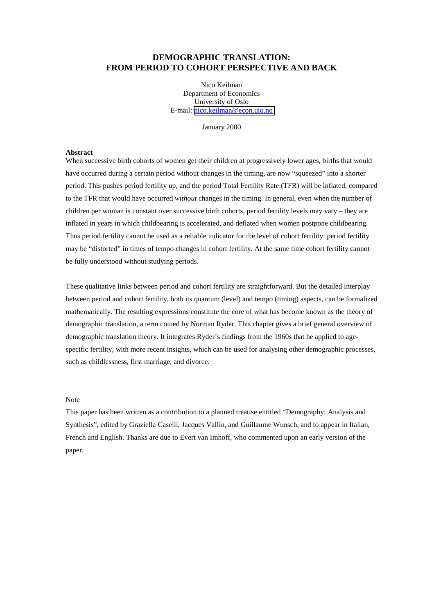## **DEMOGRAPHIC TRANSLATION: FROM PERIOD TO COHORT PERSPECTIVE AND BACK**

Nico Keilman Department of Economics University of Oslo E-mail: [nico.keilman@econ.uio.no](mailto:nico.keilman@econ.uio.no)

January 2000

#### **Abstract**

When successive birth cohorts of women get their children at progressively lower ages, births that would have occurred during a certain period without changes in the timing, are now "squeezed" into a shorter period. This pushes period fertility up, and the period Total Fertility Rate (TFR) will be inflated, compared to the TFR that would have occurred *without* changes in the timing. In general, even when the number of children per woman is constant over successive birth cohorts, period fertility levels may vary – they are inflated in years in which childbearing is accelerated, and deflated when women postpone childbearing. Thus period fertility cannot be used as a reliable indicator for the level of cohort fertility: period fertility may be "distorted" in times of tempo changes in cohort fertility. At the same time cohort fertility cannot be fully understood without studying periods.

These qualitative links between period and cohort fertility are straightforward. But the detailed interplay between period and cohort fertility, both its quantum (level) and tempo (timing) aspects, can be formalized mathematically. The resulting expressions constitute the core of what has become known as the theory of demographic translation, a term coined by Norman Ryder. This chapter gives a brief general overview of demographic translation theory. It integrates Ryder's findings from the 1960s that he applied to agespecific fertility, with more recent insights, which can be used for analysing other demographic processes, such as childlessness, first marriage, and divorce.

#### Note

This paper has been written as a contribution to a planned treatise entitled "Demography: Analysis and Synthesis", edited by Graziella Caselli, Jacques Vallin, and Guillaume Wunsch, and to appear in Italian, French and English. Thanks are due to Evert van Imhoff, who commented upon an early version of the paper.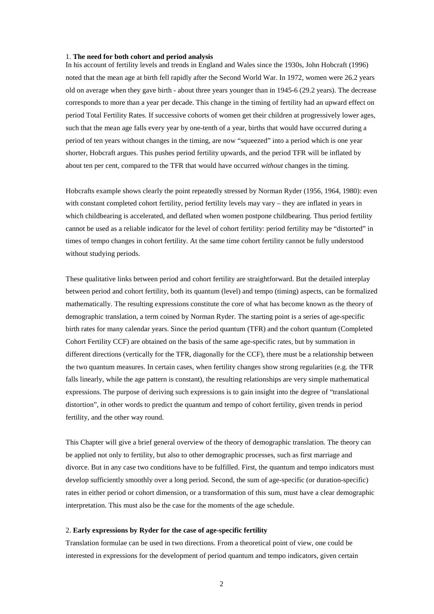#### 1. **The need for both cohort and period analysis**

In his account of fertility levels and trends in England and Wales since the 1930s, John Hobcraft (1996) noted that the mean age at birth fell rapidly after the Second World War. In 1972, women were 26.2 years old on average when they gave birth - about three years younger than in 1945-6 (29.2 years). The decrease corresponds to more than a year per decade. This change in the timing of fertility had an upward effect on period Total Fertility Rates. If successive cohorts of women get their children at progressively lower ages, such that the mean age falls every year by one-tenth of a year, births that would have occurred during a period of ten years without changes in the timing, are now "squeezed" into a period which is one year shorter, Hobcraft argues. This pushes period fertility upwards, and the period TFR will be inflated by about ten per cent, compared to the TFR that would have occurred *without* changes in the timing.

Hobcrafts example shows clearly the point repeatedly stressed by Norman Ryder (1956, 1964, 1980): even with constant completed cohort fertility, period fertility levels may vary – they are inflated in years in which childbearing is accelerated, and deflated when women postpone childbearing. Thus period fertility cannot be used as a reliable indicator for the level of cohort fertility: period fertility may be "distorted" in times of tempo changes in cohort fertility. At the same time cohort fertility cannot be fully understood without studying periods.

These qualitative links between period and cohort fertility are straightforward. But the detailed interplay between period and cohort fertility, both its quantum (level) and tempo (timing) aspects, can be formalized mathematically. The resulting expressions constitute the core of what has become known as the theory of demographic translation, a term coined by Norman Ryder. The starting point is a series of age-specific birth rates for many calendar years. Since the period quantum (TFR) and the cohort quantum (Completed Cohort Fertility CCF) are obtained on the basis of the same age-specific rates, but by summation in different directions (vertically for the TFR, diagonally for the CCF), there must be a relationship between the two quantum measures. In certain cases, when fertility changes show strong regularities (e.g. the TFR falls linearly, while the age pattern is constant), the resulting relationships are very simple mathematical expressions. The purpose of deriving such expressions is to gain insight into the degree of "translational distortion", in other words to predict the quantum and tempo of cohort fertility, given trends in period fertility, and the other way round.

This Chapter will give a brief general overview of the theory of demographic translation. The theory can be applied not only to fertility, but also to other demographic processes, such as first marriage and divorce. But in any case two conditions have to be fulfilled. First, the quantum and tempo indicators must develop sufficiently smoothly over a long period. Second, the sum of age-specific (or duration-specific) rates in either period or cohort dimension, or a transformation of this sum, must have a clear demographic interpretation. This must also be the case for the moments of the age schedule.

### 2. **Early expressions by Ryder for the case of age-specific fertility**

Translation formulae can be used in two directions. From a theoretical point of view, one could be interested in expressions for the development of period quantum and tempo indicators, given certain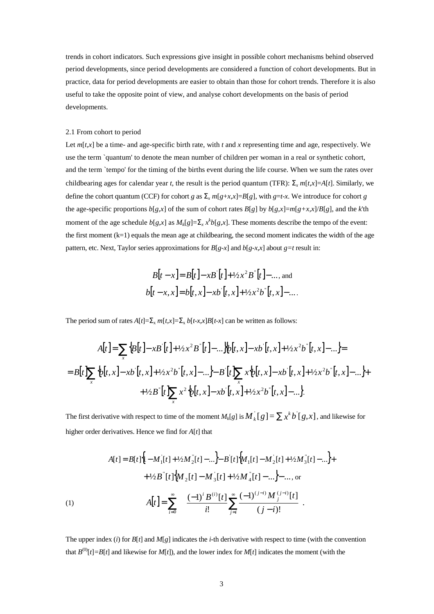trends in cohort indicators. Such expressions give insight in possible cohort mechanisms behind observed period developments, since period developments are considered a function of cohort developments. But in practice, data for period developments are easier to obtain than those for cohort trends. Therefore it is also useful to take the opposite point of view, and analyse cohort developments on the basis of period developments.

## 2.1 From cohort to period

Let  $m[t, x]$  be a time- and age-specific birth rate, with *t* and *x* representing time and age, respectively. We use the term `quantum' to denote the mean number of children per woman in a real or synthetic cohort, and the term `tempo' for the timing of the births event during the life course. When we sum the rates over childbearing ages for calendar year *t*, the result is the period quantum (TFR):  $\Sigma_r m[t, x] = A[t]$ . Similarly, we define the cohort quantum (CCF) for cohort *g* as  $\Sigma$ <sub>*x*</sub>  $m[g+x,x]=B[g]$ , with *g*=*t*-*x*. We introduce for cohort *g* the age-specific proportions  $b[g,x]$  of the sum of cohort rates  $B[g]$  by  $b[g,x]=m[g+x,x]/B[g]$ , and the *k*'th moment of the age schedule  $b[g,x]$  as  $M_k[g]=\sum_{x} x^k b[g,x]$ . These moments describe the tempo of the event: the first moment  $(k=1)$  equals the mean age at childbearing, the second moment indicates the width of the age pattern, etc. Next, Taylor series approximations for  $B[g-x]$  and  $b[g-x,x]$  about  $g=t$  result in:

$$
B[t - x] = B[t] - xB[t] + \frac{1}{2}x^{2}B^{T}[t] - \dots, \text{ and}
$$
  

$$
b[t - x, x] = b[t, x] - xb^{T}[t, x] + \frac{1}{2}x^{2}b^{T}[t, x] - \dots
$$

The period sum of rates  $A[t]=\sum_{x} m[t,x]=\sum_{x} b[t-x,x]B[t-x]$  can be written as follows:

$$
A[t] = \sum_{x} \{B[t] - xB[t] + \frac{1}{2}x^{2}B^{n}[t] - \dots \} \{b[t, x] - xb[t, x] + \frac{1}{2}x^{2}b^{n}[t, x] - \dots \} =
$$

$$
= B[t] \sum_{x} \{b[t, x] - xb[t, x] + \frac{1}{2}x^{2}b^{n}[t, x] - \dots \} - B[t] \sum_{x} x\{b[t, x] - xb[t, x] + \frac{1}{2}x^{2}b^{n}[t, x] - \dots \} + \frac{1}{2}B^{n}[t] \sum_{x} x^{2}\{b[t, x] - xb[t, x] + \frac{1}{2}x^{2}b^{n}[t, x] - \dots \}.
$$

The first derivative with respect to time of the moment  $M_k[g]$  is  $M_k[g] = \sum x^k b [g,x]$ , and likewise for higher order derivatives. Hence we find for *A*[*t*] that

(1)  
\n
$$
A[t] = B[t]\{I - M_1[t] + \frac{1}{2}M_2[t] - \dots\} - B[t]\{M_1[t] - M_2[t] + \frac{1}{2}M_3[t] - \dots\} + \frac{1}{2}B[t]\{M_2[t] - M_3[t] + \frac{1}{2}M_4[t] - \dots\} - \dots, \text{or}
$$
\n
$$
A[t] = \sum_{i=0}^{\infty} \left\{ \frac{(-1)^i B^{(i)}[t]}{i!} \sum_{j=i}^{\infty} \frac{(-1)^{(j-i)} M_j^{(j-i)}[t]}{(j-i)!} \right\}.
$$

The upper index (*i*) for  $B[t]$  and  $M[g]$  indicates the *i*-th derivative with respect to time (with the convention that  $B^{(0)}[t]=B[t]$  and likewise for  $M[t]$ ), and the lower index for  $M[t]$  indicates the moment (with the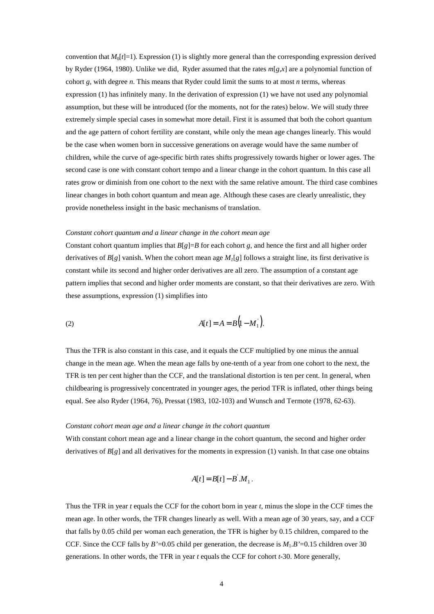convention that  $M_0[t]=1$ ). Expression (1) is slightly more general than the corresponding expression derived by Ryder (1964, 1980). Unlike we did, Ryder assumed that the rates *m*[*g*,*x*] are a polynomial function of cohort *g,* with degree *n*. This means that Ryder could limit the sums to at most *n* terms, whereas expression (1) has infinitely many. In the derivation of expression (1) we have not used any polynomial assumption, but these will be introduced (for the moments, not for the rates) below. We will study three extremely simple special cases in somewhat more detail. First it is assumed that both the cohort quantum and the age pattern of cohort fertility are constant, while only the mean age changes linearly. This would be the case when women born in successive generations on average would have the same number of children, while the curve of age-specific birth rates shifts progressively towards higher or lower ages. The second case is one with constant cohort tempo and a linear change in the cohort quantum. In this case all rates grow or diminish from one cohort to the next with the same relative amount. The third case combines linear changes in both cohort quantum and mean age. Although these cases are clearly unrealistic, they provide nonetheless insight in the basic mechanisms of translation.

#### *Constant cohort quantum and a linear change in the cohort mean age*

Constant cohort quantum implies that  $B[g]=B$  for each cohort g, and hence the first and all higher order derivatives of  $B[g]$  vanish. When the cohort mean age  $M<sub>1</sub>[g]$  follows a straight line, its first derivative is constant while its second and higher order derivatives are all zero. The assumption of a constant age pattern implies that second and higher order moments are constant, so that their derivatives are zero. With these assumptions, expression (1) simplifies into

(2) 
$$
A[t] = A = B(1 - M_1).
$$

Thus the TFR is also constant in this case, and it equals the CCF multiplied by one minus the annual change in the mean age. When the mean age falls by one-tenth of a year from one cohort to the next, the TFR is ten per cent higher than the CCF, and the translational distortion is ten per cent. In general, when childbearing is progressively concentrated in younger ages, the period TFR is inflated, other things being equal. See also Ryder (1964, 76), Pressat (1983, 102-103) and Wunsch and Termote (1978, 62-63).

## *Constant cohort mean age and a linear change in the cohort quantum*

With constant cohort mean age and a linear change in the cohort quantum, the second and higher order derivatives of  $B[g]$  and all derivatives for the moments in expression (1) vanish. In that case one obtains

$$
A[t] = B[t] - B.M_1.
$$

Thus the TFR in year *t* equals the CCF for the cohort born in year *t*, minus the slope in the CCF times the mean age. In other words, the TFR changes linearly as well. With a mean age of 30 years, say, and a CCF that falls by 0.05 child per woman each generation, the TFR is higher by 0.15 children, compared to the CCF. Since the CCF falls by *B*'=0.05 child per generation, the decrease is  $M_1.B'$ =0.15 children over 30 generations. In other words, the TFR in year *t* equals the CCF for cohort *t*-30. More generally,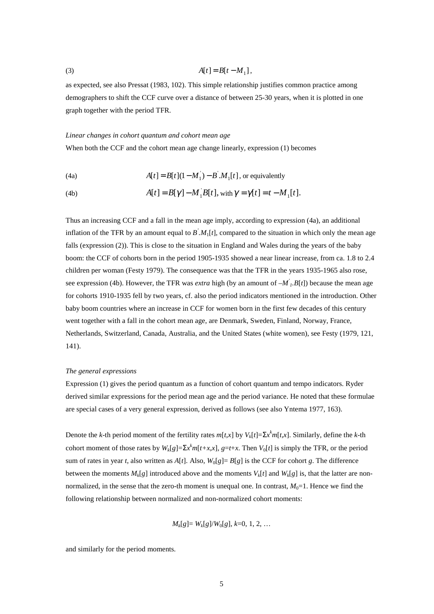$$
(3) \t A[t] = B[t - M1],
$$

as expected, see also Pressat (1983, 102). This simple relationship justifies common practice among demographers to shift the CCF curve over a distance of between 25-30 years, when it is plotted in one graph together with the period TFR.

#### *Linear changes in cohort quantum and cohort mean age*

When both the CCF and the cohort mean age change linearly, expression (1) becomes

(4a) 
$$
A[t] = B[t](1 - M_1) - B.M_1[t],
$$
 or equivalently

(4b) 
$$
A[t] = B[\gamma] - M_1 B[t], \text{ with } \gamma = \gamma[t] = t - M_1[t].
$$

Thus an increasing CCF and a fall in the mean age imply, according to expression (4a), an additional inflation of the TFR by an amount equal to *B' .M*1[*t*], compared to the situation in which only the mean age falls (expression (2)). This is close to the situation in England and Wales during the years of the baby boom: the CCF of cohorts born in the period 1905-1935 showed a near linear increase, from ca. 1.8 to 2.4 children per woman (Festy 1979). The consequence was that the TFR in the years 1935-1965 also rose, see expression (4b). However, the TFR was *extra* high (by an amount of *–M' 1.B*[*t*]) because the mean age for cohorts 1910-1935 fell by two years, cf. also the period indicators mentioned in the introduction. Other baby boom countries where an increase in CCF for women born in the first few decades of this century went together with a fall in the cohort mean age, are Denmark, Sweden, Finland, Norway, France, Netherlands, Switzerland, Canada, Australia, and the United States (white women), see Festy (1979, 121, 141).

#### *The general expressions*

Expression (1) gives the period quantum as a function of cohort quantum and tempo indicators. Ryder derived similar expressions for the period mean age and the period variance. He noted that these formulae are special cases of a very general expression, derived as follows (see also Yntema 1977, 163).

Denote the *k*-th period moment of the fertility rates  $m[t,x]$  by  $V_k[t] = \sum x^k m[t,x]$ . Similarly, define the *k*-th cohort moment of those rates by  $W_k[g]=\sum x^k m[t+x,x]$ ,  $g=t+x$ . Then  $V_0[t]$  is simply the TFR, or the period sum of rates in year *t*, also written as  $A[t]$ . Also,  $W_0[g] = B[g]$  is the CCF for cohort *g*. The difference between the moments  $M_k[g]$  introduced above and the moments  $V_k[t]$  and  $W_k[g]$  is, that the latter are nonnormalized, in the sense that the zero-th moment is unequal one. In contrast,  $M_0=1$ . Hence we find the following relationship between normalized and non-normalized cohort moments:

$$
M_k[g] = W_k[g]/W_0[g], k=0, 1, 2, ...
$$

and similarly for the period moments.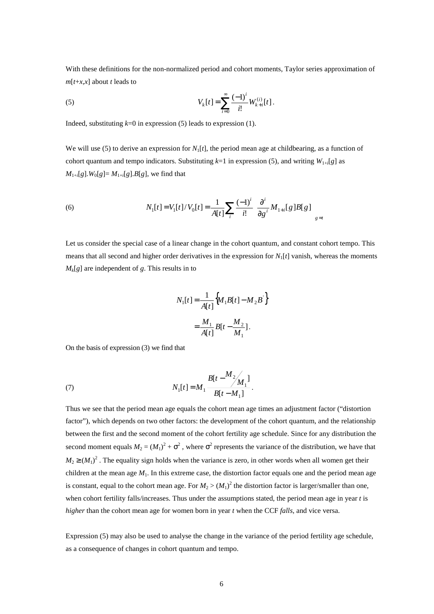With these definitions for the non-normalized period and cohort moments, Taylor series approximation of  $m[t+x,x]$  about *t* leads to

(5) 
$$
V_{k}[t] = \sum_{i=0}^{\infty} \frac{(-1)^{i}}{i!} W_{k+i}^{(i)}[t].
$$

Indeed, substituting  $k=0$  in expression (5) leads to expression (1).

We will use (5) to derive an expression for  $N<sub>1</sub>[t]$ , the period mean age at childbearing, as a function of cohort quantum and tempo indicators. Substituting  $k=1$  in expression (5), and writing  $W_{1+i}[g]$  as  $M_{1+i}[g]$ .  $W_0[g] = M_{1+i}[g]$ . B[g], we find that

(6) 
$$
N_1[t] = V_1[t]/V_0[t] = \frac{1}{A[t]} \sum_{i} \frac{(-1)^i}{i!} \left( \frac{\partial^i}{\partial g^i} M_{1+i}[g] B[g] \right)_{g=t}
$$

Let us consider the special case of a linear change in the cohort quantum, and constant cohort tempo. This means that all second and higher order derivatives in the expression for *N*1[*t*] vanish, whereas the moments  $M_k[g]$  are independent of *g*. This results in to

$$
N_1[t] = \frac{1}{A[t]} \Big\{ M_1 B[t] - M_2 B^\cdot \Big\}
$$
  
= 
$$
\frac{M_1}{A[t]} B[t - \frac{M_2}{M_1}].
$$

On the basis of expression (3) we find that

(7) 
$$
N_1[t] = M_1 \frac{B[t - M_2]_M_1}{B[t - M_1]}.
$$

Thus we see that the period mean age equals the cohort mean age times an adjustment factor ("distortion factor"), which depends on two other factors: the development of the cohort quantum, and the relationship between the first and the second moment of the cohort fertility age schedule. Since for any distribution the second moment equals  $M_2 = (M_1)^2 + \sigma^2$ , where  $\sigma^2$  represents the variance of the distribution, we have that  $M_2 \geq (M_1)^2$ . The equality sign holds when the variance is zero, in other words when all women get their children at the mean age  $M_1$ . In this extreme case, the distortion factor equals one and the period mean age is constant, equal to the cohort mean age. For  $M_2 > (M_1)^2$  the distortion factor is larger/smaller than one, when cohort fertility falls/increases. Thus under the assumptions stated, the period mean age in year *t* is *higher* than the cohort mean age for women born in year *t* when the CCF *falls*, and vice versa.

Expression (5) may also be used to analyse the change in the variance of the period fertility age schedule, as a consequence of changes in cohort quantum and tempo.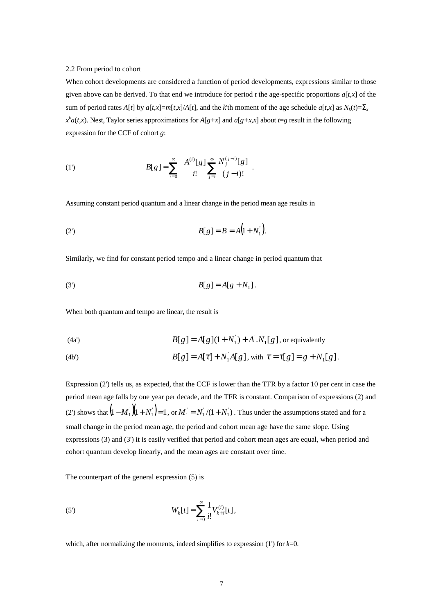#### 2.2 From period to cohort

When cohort developments are considered a function of period developments, expressions similar to those given above can be derived. To that end we introduce for period *t* the age-specific proportions  $a[t, x]$  of the sum of period rates A[t] by  $a[t,x]=m[t,x]/A[t]$ , and the k'th moment of the age schedule  $a[t,x]$  as  $N_k(t)=\sum_{x=1}^{\infty}$  $x^k a(t, x)$ . Nest, Taylor series approximations for  $A[g+x]$  and  $a[g+x, x]$  about  $t=g$  result in the following expression for the CCF of cohort *g*:

(1') 
$$
B[g] = \sum_{i=0}^{\infty} \left\{ \frac{A^{(i)}[g]}{i!} \sum_{j=i}^{\infty} \frac{N_j^{(j-i)}[g]}{(j-i)!} \right\}.
$$

Assuming constant period quantum and a linear change in the period mean age results in

(2') 
$$
B[g] = B = A(1 + N_1).
$$

Similarly, we find for constant period tempo and a linear change in period quantum that

(3') 
$$
B[g] = A[g + N_1].
$$

When both quantum and tempo are linear, the result is

(4a') 
$$
B[g] = A[g](1 + N_1) + A' . N_1[g],
$$
 or equivalently

(4b') 
$$
B[g] = A[\tau] + N'_1 A[g], \text{ with } \tau = \tau[g] = g + N_1[g].
$$

Expression (2') tells us, as expected, that the CCF is lower than the TFR by a factor 10 per cent in case the period mean age falls by one year per decade, and the TFR is constant. Comparison of expressions (2) and (2') shows that  $(1 - M_1)(1 + N_1) = 1$ , or  $M_1 = N_1/(1 + N_1)$ . Thus under the assumptions stated and for a small change in the period mean age, the period and cohort mean age have the same slope. Using expressions (3) and (3') it is easily verified that period and cohort mean ages are equal, when period and cohort quantum develop linearly, and the mean ages are constant over time.

The counterpart of the general expression (5) is

(5') 
$$
W_k[t] = \sum_{i=0}^{\infty} \frac{1}{i!} V_{k+i}^{(i)}[t],
$$

which, after normalizing the moments, indeed simplifies to expression (1') for *k*=0.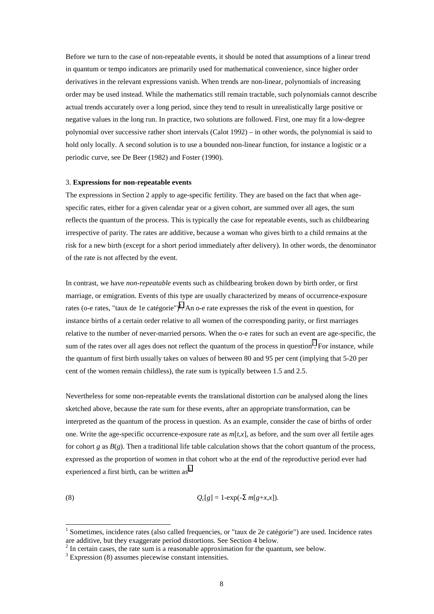Before we turn to the case of non-repeatable events, it should be noted that assumptions of a linear trend in quantum or tempo indicators are primarily used for mathematical convenience, since higher order derivatives in the relevant expressions vanish. When trends are non-linear, polynomials of increasing order may be used instead. While the mathematics still remain tractable, such polynomials cannot describe actual trends accurately over a long period, since they tend to result in unrealistically large positive or negative values in the long run. In practice, two solutions are followed. First, one may fit a low-degree polynomial over successive rather short intervals (Calot 1992) – in other words, the polynomial is said to hold only locally. A second solution is to use a bounded non-linear function, for instance a logistic or a periodic curve, see De Beer (1982) and Foster (1990).

#### 3. **Expressions for non-repeatable events**

The expressions in Section 2 apply to age-specific fertility. They are based on the fact that when agespecific rates, either for a given calendar year or a given cohort, are summed over all ages, the sum reflects the quantum of the process. This is typically the case for repeatable events, such as childbearing irrespective of parity. The rates are additive, because a woman who gives birth to a child remains at the risk for a new birth (except for a short period immediately after delivery). In other words, the denominator of the rate is not affected by the event.

In contrast, we have *non-repeatable* events such as childbearing broken down by birth order, or first marriage, or emigration. Events of this type are usually characterized by means of occurrence-exposure rates (o-e rates, "taux de 1e catégorie")<sup>1</sup>. An o-e rate expresses the risk of the event in question, for instance births of a certain order relative to all women of the corresponding parity, or first marriages relative to the number of never-married persons. When the o-e rates for such an event are age-specific, the sum of the rates over all ages does not reflect the quantum of the process in question<sup>2</sup>. For instance, while the quantum of first birth usually takes on values of between 80 and 95 per cent (implying that 5-20 per cent of the women remain childless), the rate sum is typically between 1.5 and 2.5.

Nevertheless for some non-repeatable events the translational distortion *can* be analysed along the lines sketched above, because the rate sum for these events, after an appropriate transformation, can be interpreted as the quantum of the process in question. As an example, consider the case of births of order one. Write the age-specific occurrence-exposure rate as  $m[t, x]$ , as before, and the sum over all fertile ages for cohort *g* as  $B(g)$ . Then a traditional life table calculation shows that the cohort quantum of the process, expressed as the proportion of women in that cohort who at the end of the reproductive period ever had experienced a first birth, can be written  $as<sup>3</sup>$ 

$$
Q_c[g] = 1-\exp(-\sum m[g+x,x]).
$$

 $\overline{a}$ 

<sup>&</sup>lt;sup>1</sup> Sometimes, incidence rates (also called frequencies, or "taux de 2e catégorie") are used. Incidence rates are additive, but they exaggerate period distortions. See Section 4 below.

 $2<sup>2</sup>$  In certain cases, the rate sum is a reasonable approximation for the quantum, see below.

<sup>&</sup>lt;sup>3</sup> Expression (8) assumes piecewise constant intensities.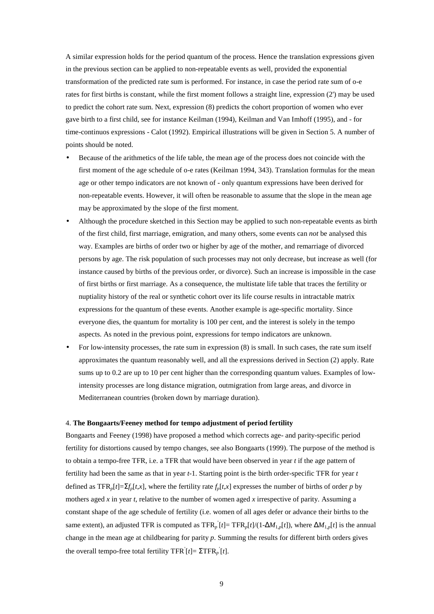A similar expression holds for the period quantum of the process. Hence the translation expressions given in the previous section can be applied to non-repeatable events as well, provided the exponential transformation of the predicted rate sum is performed. For instance, in case the period rate sum of o-e rates for first births is constant, while the first moment follows a straight line, expression (2') may be used to predict the cohort rate sum. Next, expression (8) predicts the cohort proportion of women who ever gave birth to a first child, see for instance Keilman (1994), Keilman and Van Imhoff (1995), and - for time-continuos expressions - Calot (1992). Empirical illustrations will be given in Section 5. A number of points should be noted.

- Because of the arithmetics of the life table, the mean age of the process does not coincide with the first moment of the age schedule of o-e rates (Keilman 1994, 343). Translation formulas for the mean age or other tempo indicators are not known of - only quantum expressions have been derived for non-repeatable events. However, it will often be reasonable to assume that the slope in the mean age may be approximated by the slope of the first moment.
- Although the procedure sketched in this Section may be applied to such non-repeatable events as birth of the first child, first marriage, emigration, and many others, some events can *not* be analysed this way. Examples are births of order two or higher by age of the mother, and remarriage of divorced persons by age. The risk population of such processes may not only decrease, but increase as well (for instance caused by births of the previous order, or divorce). Such an increase is impossible in the case of first births or first marriage. As a consequence, the multistate life table that traces the fertility or nuptiality history of the real or synthetic cohort over its life course results in intractable matrix expressions for the quantum of these events. Another example is age-specific mortality. Since everyone dies, the quantum for mortality is 100 per cent, and the interest is solely in the tempo aspects. As noted in the previous point, expressions for tempo indicators are unknown.
- For low-intensity processes, the rate sum in expression (8) is small. In such cases, the rate sum itself approximates the quantum reasonably well, and all the expressions derived in Section (2) apply. Rate sums up to 0.2 are up to 10 per cent higher than the corresponding quantum values. Examples of lowintensity processes are long distance migration, outmigration from large areas, and divorce in Mediterranean countries (broken down by marriage duration).

#### 4. **The Bongaarts/Feeney method for tempo adjustment of period fertility**

Bongaarts and Feeney (1998) have proposed a method which corrects age- and parity-specific period fertility for distortions caused by tempo changes, see also Bongaarts (1999). The purpose of the method is to obtain a tempo-free TFR, i.e. a TFR that would have been observed in year *t* if the age pattern of fertility had been the same as that in year *t*-1. Starting point is the birth order-specific TFR for year *t* defined as  $TFR_p[t]=\sum f_p[t,x]$ , where the fertility rate  $f_p[t,x]$  expresses the number of births of order *p* by mothers aged *x* in year *t*, relative to the number of women aged *x* irrespective of parity. Assuming a constant shape of the age schedule of fertility (i.e. women of all ages defer or advance their births to the same extent), an adjusted TFR is computed as  $TFR_p[t] = TFR_p[t]/(1 - \Delta M_{1,p}[t])$ , where  $\Delta M_{1,p}[t]$  is the annual change in the mean age at childbearing for parity *p*. Summing the results for different birth orders gives the overall tempo-free total fertility  $TFR$ <sup>'</sup>[ $t$ ]=  $\Sigma TFR$ <sup>'</sup><sub>p</sub><sup>'</sup>[ $t$ ].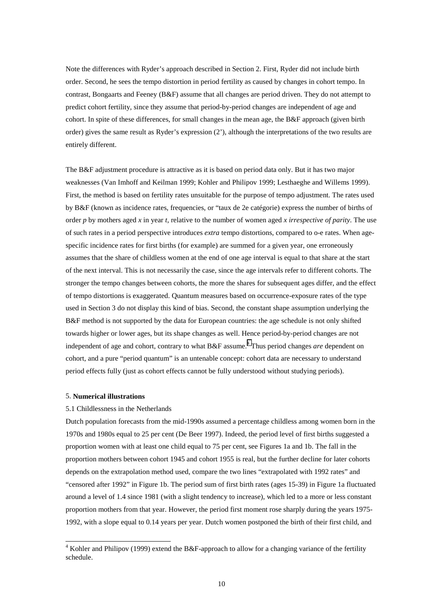Note the differences with Ryder's approach described in Section 2. First, Ryder did not include birth order. Second, he sees the tempo distortion in period fertility as caused by changes in cohort tempo. In contrast, Bongaarts and Feeney (B&F) assume that all changes are period driven. They do not attempt to predict cohort fertility, since they assume that period-by-period changes are independent of age and cohort. In spite of these differences, for small changes in the mean age, the B&F approach (given birth order) gives the same result as Ryder's expression (2'), although the interpretations of the two results are entirely different.

The B&F adjustment procedure is attractive as it is based on period data only. But it has two major weaknesses (Van Imhoff and Keilman 1999; Kohler and Philipov 1999; Lesthaeghe and Willems 1999). First, the method is based on fertility rates unsuitable for the purpose of tempo adjustment. The rates used by B&F (known as incidence rates, frequencies, or "taux de 2e catégorie) express the number of births of order *p* by mothers aged *x* in year *t*, relative to the number of women aged *x irrespective of parity*. The use of such rates in a period perspective introduces *extra* tempo distortions, compared to o-e rates. When agespecific incidence rates for first births (for example) are summed for a given year, one erroneously assumes that the share of childless women at the end of one age interval is equal to that share at the start of the next interval. This is not necessarily the case, since the age intervals refer to different cohorts. The stronger the tempo changes between cohorts, the more the shares for subsequent ages differ, and the effect of tempo distortions is exaggerated. Quantum measures based on occurrence-exposure rates of the type used in Section 3 do not display this kind of bias. Second, the constant shape assumption underlying the B&F method is not supported by the data for European countries: the age schedule is not only shifted towards higher or lower ages, but its shape changes as well. Hence period-by-period changes are not independent of age and cohort, contrary to what B&F assume.<sup>4</sup> Thus period changes *are* dependent on cohort, and a pure "period quantum" is an untenable concept: cohort data are necessary to understand period effects fully (just as cohort effects cannot be fully understood without studying periods).

## 5. **Numerical illustrations**

#### 5.1 Childlessness in the Netherlands

Dutch population forecasts from the mid-1990s assumed a percentage childless among women born in the 1970s and 1980s equal to 25 per cent (De Beer 1997). Indeed, the period level of first births suggested a proportion women with at least one child equal to 75 per cent, see Figures 1a and 1b. The fall in the proportion mothers between cohort 1945 and cohort 1955 is real, but the further decline for later cohorts depends on the extrapolation method used, compare the two lines "extrapolated with 1992 rates" and "censored after 1992" in Figure 1b. The period sum of first birth rates (ages 15-39) in Figure 1a fluctuated around a level of 1.4 since 1981 (with a slight tendency to increase), which led to a more or less constant proportion mothers from that year. However, the period first moment rose sharply during the years 1975- 1992, with a slope equal to 0.14 years per year. Dutch women postponed the birth of their first child, and

 4 Kohler and Philipov (1999) extend the B&F-approach to allow for a changing variance of the fertility schedule.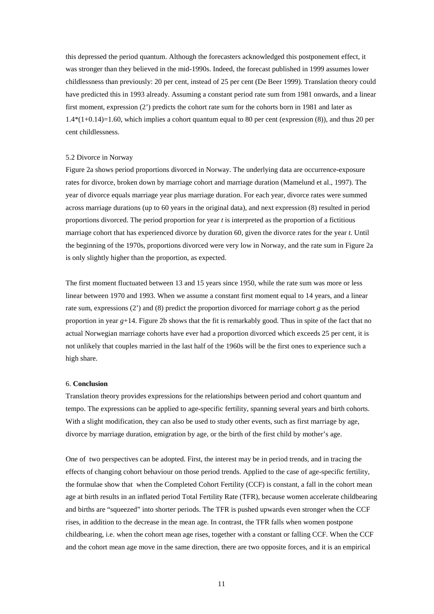this depressed the period quantum. Although the forecasters acknowledged this postponement effect, it was stronger than they believed in the mid-1990s. Indeed, the forecast published in 1999 assumes lower childlessness than previously: 20 per cent, instead of 25 per cent (De Beer 1999). Translation theory could have predicted this in 1993 already. Assuming a constant period rate sum from 1981 onwards, and a linear first moment, expression (2') predicts the cohort rate sum for the cohorts born in 1981 and later as 1.4\*(1+0.14)=1.60, which implies a cohort quantum equal to 80 per cent (expression (8)), and thus 20 per cent childlessness.

#### 5.2 Divorce in Norway

Figure 2a shows period proportions divorced in Norway. The underlying data are occurrence-exposure rates for divorce, broken down by marriage cohort and marriage duration (Mamelund et al., 1997). The year of divorce equals marriage year plus marriage duration. For each year, divorce rates were summed across marriage durations (up to 60 years in the original data), and next expression (8) resulted in period proportions divorced. The period proportion for year *t* is interpreted as the proportion of a fictitious marriage cohort that has experienced divorce by duration 60, given the divorce rates for the year *t*. Until the beginning of the 1970s, proportions divorced were very low in Norway, and the rate sum in Figure 2a is only slightly higher than the proportion, as expected.

The first moment fluctuated between 13 and 15 years since 1950, while the rate sum was more or less linear between 1970 and 1993. When we assume a constant first moment equal to 14 years, and a linear rate sum, expressions (2') and (8) predict the proportion divorced for marriage cohort *g* as the period proportion in year *g*+14. Figure 2b shows that the fit is remarkably good. Thus in spite of the fact that no actual Norwegian marriage cohorts have ever had a proportion divorced which exceeds 25 per cent, it is not unlikely that couples married in the last half of the 1960s will be the first ones to experience such a high share.

## 6. **Conclusion**

Translation theory provides expressions for the relationships between period and cohort quantum and tempo. The expressions can be applied to age-specific fertility, spanning several years and birth cohorts. With a slight modification, they can also be used to study other events, such as first marriage by age, divorce by marriage duration, emigration by age, or the birth of the first child by mother's age.

One of two perspectives can be adopted. First, the interest may be in period trends, and in tracing the effects of changing cohort behaviour on those period trends. Applied to the case of age-specific fertility, the formulae show that when the Completed Cohort Fertility (CCF) is constant, a fall in the cohort mean age at birth results in an inflated period Total Fertility Rate (TFR), because women accelerate childbearing and births are "squeezed" into shorter periods. The TFR is pushed upwards even stronger when the CCF rises, in addition to the decrease in the mean age. In contrast, the TFR falls when women postpone childbearing, i.e. when the cohort mean age rises, together with a constant or falling CCF. When the CCF and the cohort mean age move in the same direction, there are two opposite forces, and it is an empirical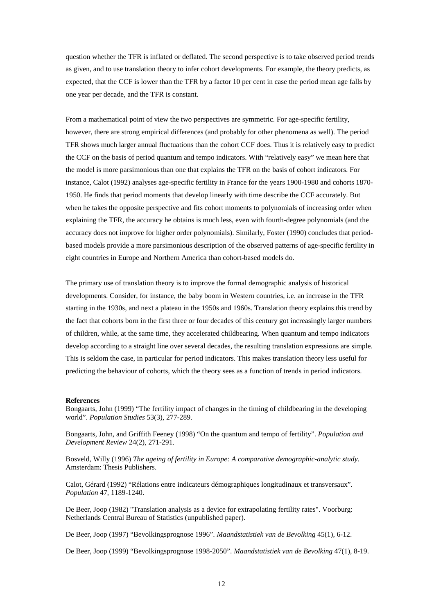question whether the TFR is inflated or deflated. The second perspective is to take observed period trends as given, and to use translation theory to infer cohort developments. For example, the theory predicts, as expected, that the CCF is lower than the TFR by a factor 10 per cent in case the period mean age falls by one year per decade, and the TFR is constant.

From a mathematical point of view the two perspectives are symmetric. For age-specific fertility, however, there are strong empirical differences (and probably for other phenomena as well). The period TFR shows much larger annual fluctuations than the cohort CCF does. Thus it is relatively easy to predict the CCF on the basis of period quantum and tempo indicators. With "relatively easy" we mean here that the model is more parsimonious than one that explains the TFR on the basis of cohort indicators. For instance, Calot (1992) analyses age-specific fertility in France for the years 1900-1980 and cohorts 1870- 1950. He finds that period moments that develop linearly with time describe the CCF accurately. But when he takes the opposite perspective and fits cohort moments to polynomials of increasing order when explaining the TFR, the accuracy he obtains is much less, even with fourth-degree polynomials (and the accuracy does not improve for higher order polynomials). Similarly, Foster (1990) concludes that periodbased models provide a more parsimonious description of the observed patterns of age-specific fertility in eight countries in Europe and Northern America than cohort-based models do.

The primary use of translation theory is to improve the formal demographic analysis of historical developments. Consider, for instance, the baby boom in Western countries, i.e. an increase in the TFR starting in the 1930s, and next a plateau in the 1950s and 1960s. Translation theory explains this trend by the fact that cohorts born in the first three or four decades of this century got increasingly larger numbers of children, while, at the same time, they accelerated childbearing. When quantum and tempo indicators develop according to a straight line over several decades, the resulting translation expressions are simple. This is seldom the case, in particular for period indicators. This makes translation theory less useful for predicting the behaviour of cohorts, which the theory sees as a function of trends in period indicators.

#### **References**

Bongaarts, John (1999) "The fertility impact of changes in the timing of childbearing in the developing world". *Population Studies* 53(3), 277-289.

Bongaarts, John, and Griffith Feeney (1998) "On the quantum and tempo of fertility". *Population and Development Review* 24(2), 271-291.

Bosveld, Willy (1996) *The ageing of fertility in Europe: A comparative demographic-analytic study.* Amsterdam: Thesis Publishers.

Calot, Gérard (1992) "Rélations entre indicateurs démographiques longitudinaux et transversaux". *Population* 47, 1189-1240.

De Beer, Joop (1982) "Translation analysis as a device for extrapolating fertility rates". Voorburg: Netherlands Central Bureau of Statistics (unpublished paper).

De Beer, Joop (1997) "Bevolkingsprognose 1996". *Maandstatistiek van de Bevolking* 45(1), 6-12.

De Beer, Joop (1999) "Bevolkingsprognose 1998-2050". *Maandstatistiek van de Bevolking* 47(1), 8-19.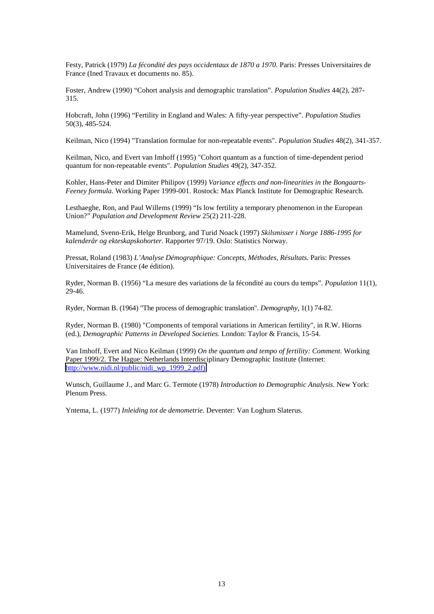Festy, Patrick (1979) *La fécondité des pays occidentaux de 1870 a 1970.* Paris: Presses Universitaires de France (Ined Travaux et documents no. 85).

Foster, Andrew (1990) "Cohort analysis and demographic translation". *Population Studies* 44(2), 287- 315.

Hobcraft, John (1996) "Fertility in England and Wales: A fifty-year perspective". *Population Studies* 50(3), 485-524.

Keilman, Nico (1994) "Translation formulae for non-repeatable events". *Population Studies* 48(2), 341-357.

Keilman, Nico, and Evert van Imhoff (1995) "Cohort quantum as a function of time-dependent period quantum for non-repeatable events". *Population Studies* 49(2), 347-352.

Kohler, Hans-Peter and Dimiter Philipov (1999) *Variance effects and non-linearities in the Bongaarts-Feeney formula.* Working Paper 1999-001. Rostock: Max Planck Institute for Demographic Research.

Lesthaeghe, Ron, and Paul Willems (1999) "Is low fertility a temporary phenomenon in the European Union?" *Population and Development Review* 25(2) 211-228.

Mamelund, Svenn-Erik, Helge Brunborg, and Turid Noack (1997) *Skilsmisser i Norge 1886-1995 for kalenderår og ekteskapskohorter.* Rapporter 97/19. Oslo: Statistics Norway.

Pressat, Roland (1983) *L'Analyse Démographique: Concepts, Méthodes, Résultats.* Paris: Presses Universitaires de France (4e édition).

Ryder, Norman B. (1956) "La mesure des variations de la fécondité au cours du temps". *Population* 11(1), 29-46.

Ryder, Norman B. (1964) "The process of demographic translation". *Demography*, 1(1) 74-82.

Ryder, Norman B. (1980) "Components of temporal variations in American fertility", in R.W. Hiorns (ed.), *Demographic Patterns in Developed Societies.* London: Taylor & Francis, 15-54.

Van Imhoff, Evert and Nico Keilman (1999) *On the quantum and tempo of fertility: Comment.* Working Paper 1999/2. The Hague: Netherlands Interdisciplinary Demographic Institute (Internet: [http://www.nidi.nl/public/nidi\\_wp\\_1999\\_2.pdf\).](http://www.nidi.nl/public/nidi_wp_1999_2.pdf))

Wunsch, Guillaume J., and Marc G. Termote (1978) *Introduction to Demographic Analysis*. New York: Plenum Press.

Yntema, L. (1977) *Inleiding tot de demometrie.* Deventer: Van Loghum Slaterus.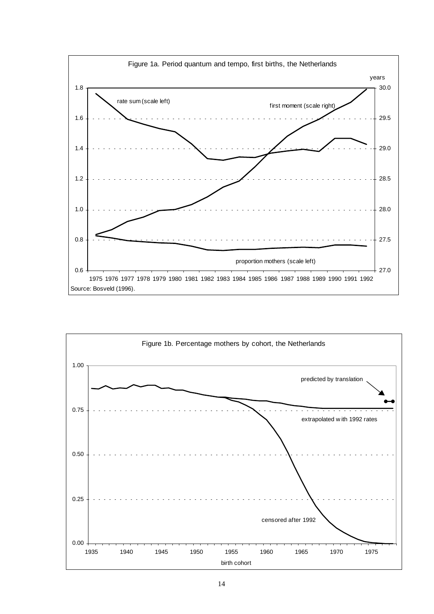